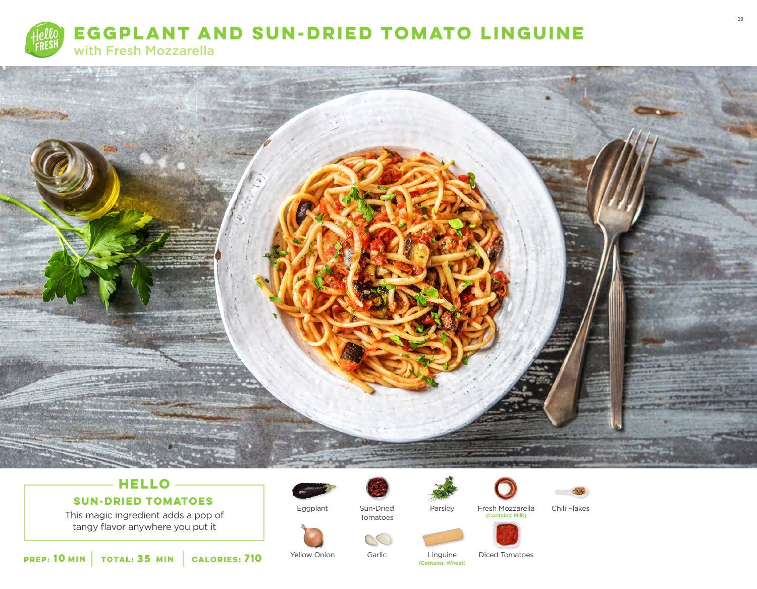



# **HELLO**

# **SUN-DRIED TOMATOES**

This magic ingredient adds a pop of tangy flavor anywhere you put it



Yellow Onion

Eggplant



Tomatoes

Garlic

**SALE** 

Parsley Fresh Mozzarella<br>Contains: Milk)



Chili Flakes



Diced Tomatoes Linguine<br>(Contains: Wheat)

**10 MIN TOTAL: 35 MIN CALORIES: 710 PERFOLUTE TO THE CONTAINS: Wheat) Contains:** Wheat)